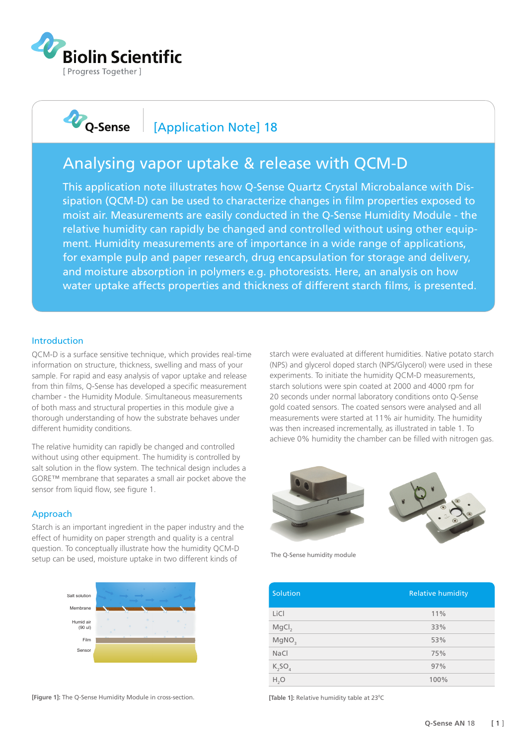

# **D**<sub>Q-Sense</sub>

### [Application Note] 18

## Analysing vapor uptake & release with QCM-D

This application note illustrates how Q-Sense Quartz Crystal Microbalance with Dissipation (QCM-D) can be used to characterize changes in film properties exposed to moist air. Measurements are easily conducted in the Q-Sense Humidity Module - the relative humidity can rapidly be changed and controlled without using other equipment. Humidity measurements are of importance in a wide range of applications, for example pulp and paper research, drug encapsulation for storage and delivery, and moisture absorption in polymers e.g. photoresists. Here, an analysis on how water uptake affects properties and thickness of different starch films, is presented.

#### Introduction

QCM-D is a surface sensitive technique, which provides real-time information on structure, thickness, swelling and mass of your sample. For rapid and easy analysis of vapor uptake and release from thin films, Q-Sense has developed a specific measurement chamber - the Humidity Module. Simultaneous measurements of both mass and structural properties in this module give a thorough understanding of how the substrate behaves under different humidity conditions.

The relative humidity can rapidly be changed and controlled without using other equipment. The humidity is controlled by salt solution in the flow system. The technical design includes a GORE™ membrane that separates a small air pocket above the sensor from liquid flow, see figure 1.

#### Approach

Starch is an important ingredient in the paper industry and the effect of humidity on paper strength and quality is a central question. To conceptually illustrate how the humidity QCM-D setup can be used, moisture uptake in two different kinds of



**[Figure 1]:** The Q-Sense Humidity Module in cross-section.

starch were evaluated at different humidities. Native potato starch (NPS) and glycerol doped starch (NPS/Glycerol) were used in these experiments. To initiate the humidity QCM-D measurements, starch solutions were spin coated at 2000 and 4000 rpm for 20 seconds under normal laboratory conditions onto Q-Sense gold coated sensors. The coated sensors were analysed and all measurements were started at 11% air humidity. The humidity was then increased incrementally, as illustrated in table 1. To achieve 0% humidity the chamber can be filled with nitrogen gas.



The Q-Sense humidity module

| Solution          | <b>Relative humidity</b> |
|-------------------|--------------------------|
| LiCl              | 11%                      |
| MgCl <sub>2</sub> | 33%                      |
| MgNO <sub>3</sub> | 53%                      |
| NaCl              | 75%                      |
| $K_2SO_4$         | 97%                      |
| H, O              | 100%                     |

[Table 1]: Relative humidity table at 23°C